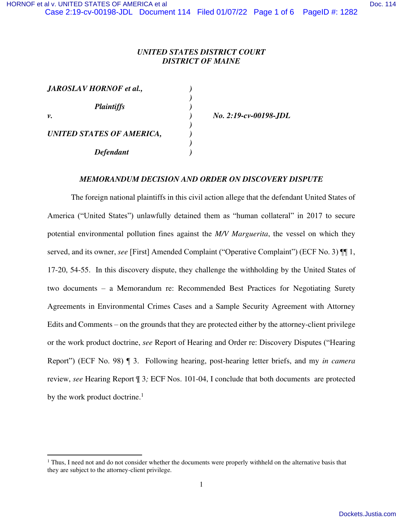# *UNITED STATES DISTRICT COURT DISTRICT OF MAINE*

| JAROSLAV HORNOF et al.,   |  |
|---------------------------|--|
|                           |  |
| <b>Plaintiffs</b>         |  |
| ν.                        |  |
|                           |  |
| UNITED STATES OF AMERICA, |  |
|                           |  |
| <b>Defendant</b>          |  |

*v. ) No. 2:19-cv-00198-JDL* 

### *MEMORANDUM DECISION AND ORDER ON DISCOVERY DISPUTE*

The foreign national plaintiffs in this civil action allege that the defendant United States of America ("United States") unlawfully detained them as "human collateral" in 2017 to secure potential environmental pollution fines against the *M/V Marguerita*, the vessel on which they served, and its owner, *see* [First] Amended Complaint ("Operative Complaint") (ECF No. 3) ¶¶ 1, 17-20, 54-55. In this discovery dispute, they challenge the withholding by the United States of two documents – a Memorandum re: Recommended Best Practices for Negotiating Surety Agreements in Environmental Crimes Cases and a Sample Security Agreement with Attorney Edits and Comments – on the grounds that they are protected either by the attorney-client privilege or the work product doctrine, *see* Report of Hearing and Order re: Discovery Disputes ("Hearing Report") (ECF No. 98) ¶ 3. Following hearing, post-hearing letter briefs, and my *in camera* review, *see* Hearing Report ¶ 3*;* ECF Nos. 101-04, I conclude that both documents are protected by the work product doctrine. $<sup>1</sup>$ </sup>

<sup>&</sup>lt;sup>1</sup> Thus, I need not and do not consider whether the documents were properly withheld on the alternative basis that they are subject to the attorney-client privilege.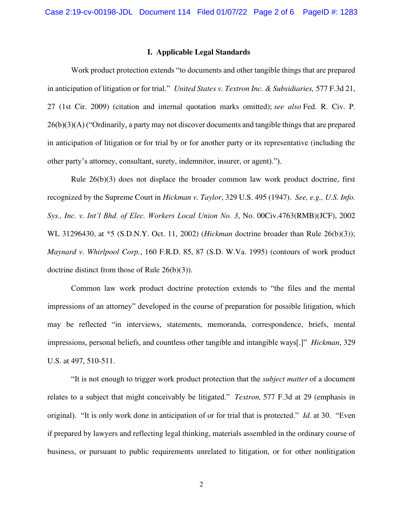### **I. Applicable Legal Standards**

Work product protection extends "to documents and other tangible things that are prepared in anticipation of litigation or for trial." *United States v. Textron Inc. & Subsidiaries,* 577 F.3d 21, 27 (1st Cir. 2009) (citation and internal quotation marks omitted); *see also* Fed. R. Civ. P. 26(b)(3)(A) ("Ordinarily, a party may not discover documents and tangible things that are prepared in anticipation of litigation or for trial by or for another party or its representative (including the other party's attorney, consultant, surety, indemnitor, insurer, or agent).").

 Rule 26(b)(3) does not displace the broader common law work product doctrine, first recognized by the Supreme Court in *Hickman v. Taylor*, 329 U.S. 495 (1947). *See, e.g., U.S. Info. Sys., Inc. v. Int'l Bhd. of Elec. Workers Local Union No. 3*, No. 00Civ.4763(RMB)(JCF), 2002 WL 31296430, at \*5 (S.D.N.Y. Oct. 11, 2002) (*Hickman* doctrine broader than Rule 26(b)(3)); *Maynard v. Whirlpool Corp.*, 160 F.R.D. 85, 87 (S.D. W.Va. 1995) (contours of work product doctrine distinct from those of Rule 26(b)(3)).

Common law work product doctrine protection extends to "the files and the mental impressions of an attorney" developed in the course of preparation for possible litigation, which may be reflected "in interviews, statements, memoranda, correspondence, briefs, mental impressions, personal beliefs, and countless other tangible and intangible ways[.]" *Hickman*, 329 U.S. at 497, 510-511.

"It is not enough to trigger work product protection that the *subject matter* of a document relates to a subject that might conceivably be litigated." *Textron,* 577 F.3d at 29 (emphasis in original). "It is only work done in anticipation of or for trial that is protected." *Id.* at 30. "Even if prepared by lawyers and reflecting legal thinking, materials assembled in the ordinary course of business, or pursuant to public requirements unrelated to litigation, or for other nonlitigation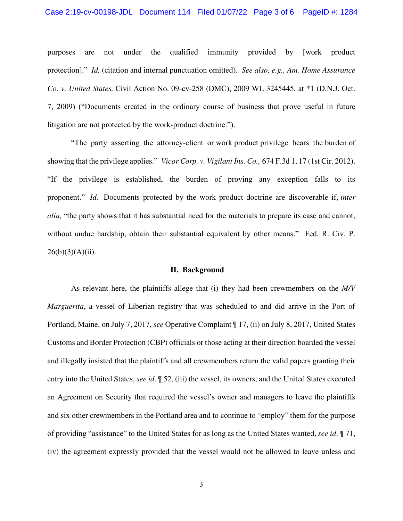#### Case 2:19-cv-00198-JDL Document 114 Filed 01/07/22 Page 3 of 6 PageID #: 1284

purposes are not under the qualified immunity provided by [work product protection]." *Id.* (citation and internal punctuation omitted). *See also, e.g., Am. Home Assurance Co. v. United States,* Civil Action No. 09-cv-258 (DMC), 2009 WL 3245445, at \*1 (D.N.J. Oct. 7, 2009) ("Documents created in the ordinary course of business that prove useful in future litigation are not protected by the work-product doctrine.").

"The party asserting the attorney-client or work product privilege bears the burden of showing that the privilege applies." *Vicor Corp. v. Vigilant Ins. Co.,* 674 F.3d 1, 17 (1st Cir. 2012). "If the privilege is established, the burden of proving any exception falls to its proponent." *Id.* Documents protected by the work product doctrine are discoverable if, *inter alia,* "the party shows that it has substantial need for the materials to prepare its case and cannot, without undue hardship, obtain their substantial equivalent by other means." Fed. R. Civ. P.  $26(b)(3)(A)(ii)$ .

### **II. Background**

As relevant here, the plaintiffs allege that (i) they had been crewmembers on the *M/V Marguerita*, a vessel of Liberian registry that was scheduled to and did arrive in the Port of Portland, Maine, on July 7, 2017, *see* Operative Complaint ¶ 17, (ii) on July 8, 2017, United States Customs and Border Protection (CBP) officials or those acting at their direction boarded the vessel and illegally insisted that the plaintiffs and all crewmembers return the valid papers granting their entry into the United States, *see id*. ¶ 52, (iii) the vessel, its owners, and the United States executed an Agreement on Security that required the vessel's owner and managers to leave the plaintiffs and six other crewmembers in the Portland area and to continue to "employ" them for the purpose of providing "assistance" to the United States for as long as the United States wanted, *see id*. ¶ 71, (iv) the agreement expressly provided that the vessel would not be allowed to leave unless and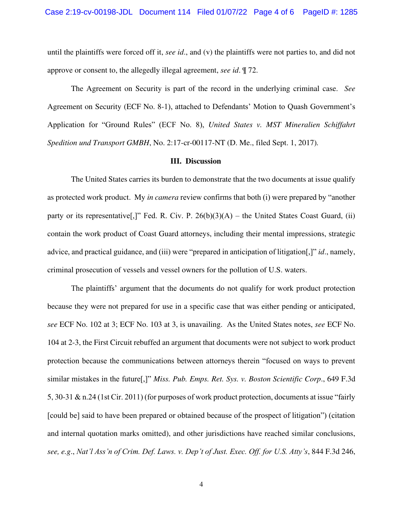until the plaintiffs were forced off it, *see id*., and (v) the plaintiffs were not parties to, and did not approve or consent to, the allegedly illegal agreement, *see id*. ¶ 72.

The Agreement on Security is part of the record in the underlying criminal case. *See* Agreement on Security (ECF No. 8-1), attached to Defendants' Motion to Quash Government's Application for "Ground Rules" (ECF No. 8), *United States v. MST Mineralien Schiffahrt Spedition und Transport GMBH*, No. 2:17-cr-00117-NT (D. Me., filed Sept. 1, 2017)*.*

#### **III. Discussion**

The United States carries its burden to demonstrate that the two documents at issue qualify as protected work product. My *in camera* review confirms that both (i) were prepared by "another party or its representative<sup>[1]</sup>. Fed. R. Civ. P.  $26(b)(3)(A)$  – the United States Coast Guard, (ii) contain the work product of Coast Guard attorneys, including their mental impressions, strategic advice, and practical guidance, and (iii) were "prepared in anticipation of litigation[,]" *id*., namely, criminal prosecution of vessels and vessel owners for the pollution of U.S. waters.

The plaintiffs' argument that the documents do not qualify for work product protection because they were not prepared for use in a specific case that was either pending or anticipated, *see* ECF No. 102 at 3; ECF No. 103 at 3, is unavailing. As the United States notes, *see* ECF No. 104 at 2-3, the First Circuit rebuffed an argument that documents were not subject to work product protection because the communications between attorneys therein "focused on ways to prevent similar mistakes in the future[,]" *Miss. Pub. Emps. Ret. Sys. v. Boston Scientific Corp*., 649 F.3d 5, 30-31 & n.24 (1st Cir. 2011) (for purposes of work product protection, documents at issue "fairly [could be] said to have been prepared or obtained because of the prospect of litigation") (citation and internal quotation marks omitted), and other jurisdictions have reached similar conclusions, *see, e.g*., *Nat'l Ass'n of Crim. Def. Laws. v. Dep't of Just. Exec. Off. for U.S. Atty's*, 844 F.3d 246,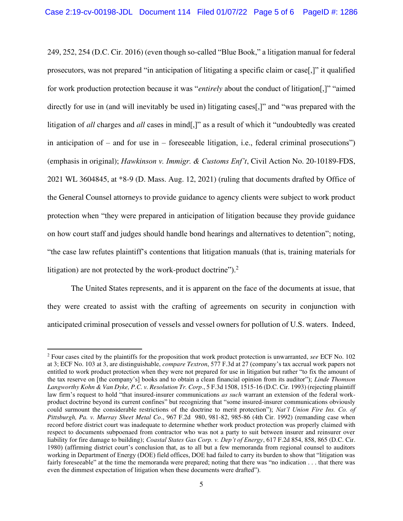249, 252, 254 (D.C. Cir. 2016) (even though so-called "Blue Book," a litigation manual for federal prosecutors, was not prepared "in anticipation of litigating a specific claim or case[,]" it qualified for work production protection because it was "*entirely* about the conduct of litigation[,]" "aimed directly for use in (and will inevitably be used in) litigating cases<sup>[1]</sup>, and "was prepared with the litigation of *all* charges and *all* cases in mind[,]" as a result of which it "undoubtedly was created in anticipation of – and for use in – foreseeable litigation, i.e., federal criminal prosecutions") (emphasis in original); *Hawkinson v. Immigr. & Customs Enf't*, Civil Action No. 20-10189-FDS, 2021 WL 3604845, at \*8-9 (D. Mass. Aug. 12, 2021) (ruling that documents drafted by Office of the General Counsel attorneys to provide guidance to agency clients were subject to work product protection when "they were prepared in anticipation of litigation because they provide guidance on how court staff and judges should handle bond hearings and alternatives to detention"; noting, "the case law refutes plaintiff's contentions that litigation manuals (that is, training materials for litigation) are not protected by the work-product doctrine").<sup>2</sup>

The United States represents, and it is apparent on the face of the documents at issue, that they were created to assist with the crafting of agreements on security in conjunction with anticipated criminal prosecution of vessels and vessel owners for pollution of U.S. waters. Indeed,

<sup>2</sup> Four cases cited by the plaintiffs for the proposition that work product protection is unwarranted, *see* ECF No. 102 at 3; ECF No. 103 at 3, are distinguishable, *compare Textron*, 577 F.3d at 27 (company's tax accrual work papers not entitled to work product protection when they were not prepared for use in litigation but rather "to fix the amount of the tax reserve on [the company's] books and to obtain a clean financial opinion from its auditor"); *Linde Thomson Langworthy Kohn & Van Dyke, P.C. v. Resolution Tr. Corp*., 5 F.3d 1508, 1515-16 (D.C. Cir. 1993) (rejecting plaintiff law firm's request to hold "that insured-insurer communications *as such* warrant an extension of the federal workproduct doctrine beyond its current confines" but recognizing that "some insured-insurer communications obviously could surmount the considerable restrictions of the doctrine to merit protection"); *Nat'l Union Fire Ins. Co. of Pittsburgh, Pa. v. Murray Sheet Metal Co*., 967 F.2d 980, 981-82, 985-86 (4th Cir. 1992) (remanding case when record before district court was inadequate to determine whether work product protection was properly claimed with respect to documents subpoenaed from contractor who was not a party to suit between insurer and reinsurer over liability for fire damage to building); *Coastal States Gas Corp. v. Dep't of Energy*, 617 F.2d 854, 858, 865 (D.C. Cir. 1980) (affirming district court's conclusion that, as to all but a few memoranda from regional counsel to auditors working in Department of Energy (DOE) field offices, DOE had failed to carry its burden to show that "litigation was fairly foreseeable" at the time the memoranda were prepared; noting that there was "no indication . . . that there was even the dimmest expectation of litigation when these documents were drafted").